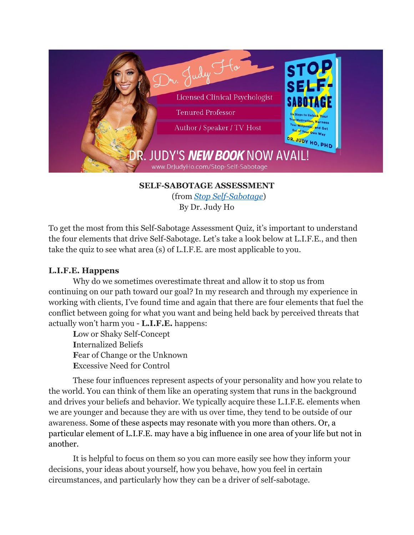

## **SELF-SABOTAGE ASSESSMENT**

(from *Stop Self-Sabotage*) By Dr. Judy Ho

To get the most from this Self-Sabotage Assessment Quiz, it's important to understand the four elements that drive Self-Sabotage. Let's take a look below at L.I.F.E., and then take the quiz to see what area (s) of L.I.F.E. are most applicable to you.

## **L.I.F.E. Happens**

Why do we sometimes overestimate threat and allow it to stop us from continuing on our path toward our goal? In my research and through my experience in working with clients, I've found time and again that there are four elements that fuel the conflict between going for what you want and being held back by perceived threats that actually won't harm you - **L.I.F.E.** happens:

**L**ow or Shaky Self-Concept **I**nternalized Beliefs **F**ear of Change or the Unknown **E**xcessive Need for Control

These four influences represent aspects of your personality and how you relate to the world. You can think of them like an operating system that runs in the background and drives your beliefs and behavior. We typically acquire these L.I.F.E. elements when we are younger and because they are with us over time, they tend to be outside of our awareness. Some of these aspects may resonate with you more than others. Or, a particular element of L.I.F.E. may have a big influence in one area of your life but not in another.

It is helpful to focus on them so you can more easily see how they inform your decisions, your ideas about yourself, how you behave, how you feel in certain circumstances, and particularly how they can be a driver of self-sabotage.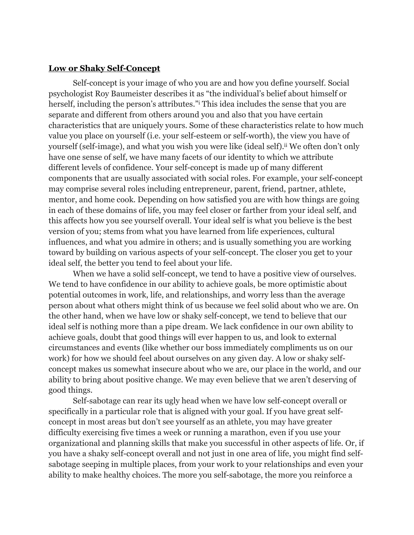#### **Low or Shaky Self-Concept**

Self-concept is your image of who you are and how you define yourself. Social psychologist Roy Baumeister describes it as "the individual's belief about himself or herself, including the person's attributes."i This idea includes the sense that you are separate and different from others around you and also that you have certain characteristics that are uniquely yours. Some of these characteristics relate to how much value you place on yourself (i.e. your self-esteem or self-worth), the view you have of yourself (self-image), and what you wish you were like (ideal self).<sup>ii</sup> We often don't only have one sense of self, we have many facets of our identity to which we attribute different levels of confidence. Your self-concept is made up of many different components that are usually associated with social roles. For example, your self-concept may comprise several roles including entrepreneur, parent, friend, partner, athlete, mentor, and home cook. Depending on how satisfied you are with how things are going in each of these domains of life, you may feel closer or farther from your ideal self, and this affects how you see yourself overall. Your ideal self is what you believe is the best version of you; stems from what you have learned from life experiences, cultural influences, and what you admire in others; and is usually something you are working toward by building on various aspects of your self-concept. The closer you get to your ideal self, the better you tend to feel about your life.

When we have a solid self-concept, we tend to have a positive view of ourselves. We tend to have confidence in our ability to achieve goals, be more optimistic about potential outcomes in work, life, and relationships, and worry less than the average person about what others might think of us because we feel solid about who we are. On the other hand, when we have low or shaky self-concept, we tend to believe that our ideal self is nothing more than a pipe dream. We lack confidence in our own ability to achieve goals, doubt that good things will ever happen to us, and look to external circumstances and events (like whether our boss immediately compliments us on our work) for how we should feel about ourselves on any given day. A low or shaky selfconcept makes us somewhat insecure about who we are, our place in the world, and our ability to bring about positive change. We may even believe that we aren't deserving of good things.

Self-sabotage can rear its ugly head when we have low self-concept overall or specifically in a particular role that is aligned with your goal. If you have great selfconcept in most areas but don't see yourself as an athlete, you may have greater difficulty exercising five times a week or running a marathon, even if you use your organizational and planning skills that make you successful in other aspects of life. Or, if you have a shaky self-concept overall and not just in one area of life, you might find selfsabotage seeping in multiple places, from your work to your relationships and even your ability to make healthy choices. The more you self-sabotage, the more you reinforce a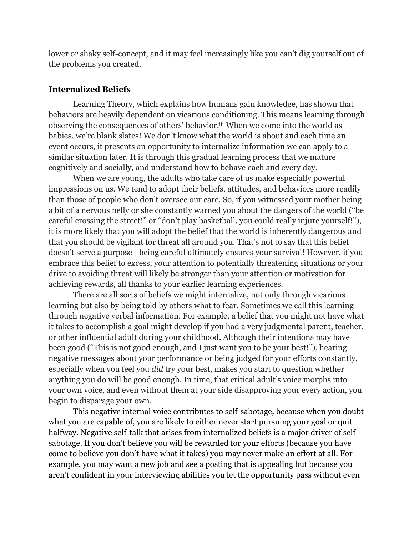lower or shaky self-concept, and it may feel increasingly like you can't dig yourself out of the problems you created.

#### **Internalized Beliefs**

Learning Theory, which explains how humans gain knowledge, has shown that behaviors are heavily dependent on vicarious conditioning. This means learning through observing the consequences of others' behavior.iii When we come into the world as babies, we're blank slates! We don't know what the world is about and each time an event occurs, it presents an opportunity to internalize information we can apply to a similar situation later. It is through this gradual learning process that we mature cognitively and socially, and understand how to behave each and every day.

When we are young, the adults who take care of us make especially powerful impressions on us. We tend to adopt their beliefs, attitudes, and behaviors more readily than those of people who don't oversee our care. So, if you witnessed your mother being a bit of a nervous nelly or she constantly warned you about the dangers of the world ("be careful crossing the street!" or "don't play basketball, you could really injure yourself!"), it is more likely that you will adopt the belief that the world is inherently dangerous and that you should be vigilant for threat all around you. That's not to say that this belief doesn't serve a purpose—being careful ultimately ensures your survival! However, if you embrace this belief to excess, your attention to potentially threatening situations or your drive to avoiding threat will likely be stronger than your attention or motivation for achieving rewards, all thanks to your earlier learning experiences.

There are all sorts of beliefs we might internalize, not only through vicarious learning but also by being told by others what to fear. Sometimes we call this learning through negative verbal information. For example, a belief that you might not have what it takes to accomplish a goal might develop if you had a very judgmental parent, teacher, or other influential adult during your childhood. Although their intentions may have been good ("This is not good enough, and I just want you to be your best!"), hearing negative messages about your performance or being judged for your efforts constantly, especially when you feel you *did* try your best, makes you start to question whether anything you do will be good enough. In time, that critical adult's voice morphs into your own voice, and even without them at your side disapproving your every action, you begin to disparage your own.

This negative internal voice contributes to self-sabotage, because when you doubt what you are capable of, you are likely to either never start pursuing your goal or quit halfway. Negative self-talk that arises from internalized beliefs is a major driver of selfsabotage. If you don't believe you will be rewarded for your efforts (because you have come to believe you don't have what it takes) you may never make an effort at all. For example, you may want a new job and see a posting that is appealing but because you aren't confident in your interviewing abilities you let the opportunity pass without even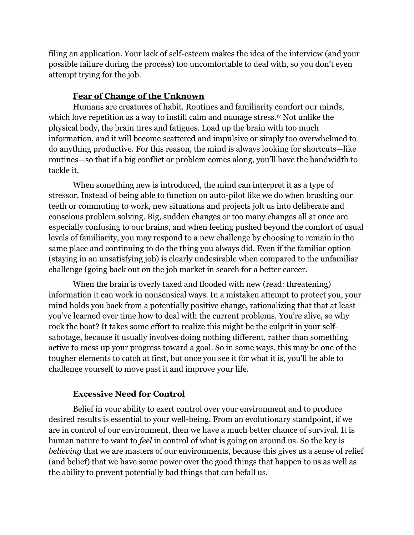filing an application. Your lack of self-esteem makes the idea of the interview (and your possible failure during the process) too uncomfortable to deal with, so you don't even attempt trying for the job.

## **Fear of Change of the Unknown**

Humans are creatures of habit. Routines and familiarity comfort our minds, which love repetition as a way to instill calm and manage stress.<sup>iv</sup> Not unlike the physical body, the brain tires and fatigues. Load up the brain with too much information, and it will become scattered and impulsive or simply too overwhelmed to do anything productive. For this reason, the mind is always looking for shortcuts—like routines—so that if a big conflict or problem comes along, you'll have the bandwidth to tackle it.

When something new is introduced, the mind can interpret it as a type of stressor. Instead of being able to function on auto-pilot like we do when brushing our teeth or commuting to work, new situations and projects jolt us into deliberate and conscious problem solving. Big, sudden changes or too many changes all at once are especially confusing to our brains, and when feeling pushed beyond the comfort of usual levels of familiarity, you may respond to a new challenge by choosing to remain in the same place and continuing to do the thing you always did. Even if the familiar option (staying in an unsatisfying job) is clearly undesirable when compared to the unfamiliar challenge (going back out on the job market in search for a better career.

When the brain is overly taxed and flooded with new (read: threatening) information it can work in nonsensical ways. In a mistaken attempt to protect you, your mind holds you back from a potentially positive change, rationalizing that that at least you've learned over time how to deal with the current problems. You're alive, so why rock the boat? It takes some effort to realize this might be the culprit in your selfsabotage, because it usually involves doing nothing different, rather than something active to mess up your progress toward a goal. So in some ways, this may be one of the tougher elements to catch at first, but once you see it for what it is, you'll be able to challenge yourself to move past it and improve your life.

## **Excessive Need for Control**

Belief in your ability to exert control over your environment and to produce desired results is essential to your well-being. From an evolutionary standpoint, if we are in control of our environment, then we have a much better chance of survival. It is human nature to want to *feel* in control of what is going on around us. So the key is *believing* that we are masters of our environments, because this gives us a sense of relief (and belief) that we have some power over the good things that happen to us as well as the ability to prevent potentially bad things that can befall us.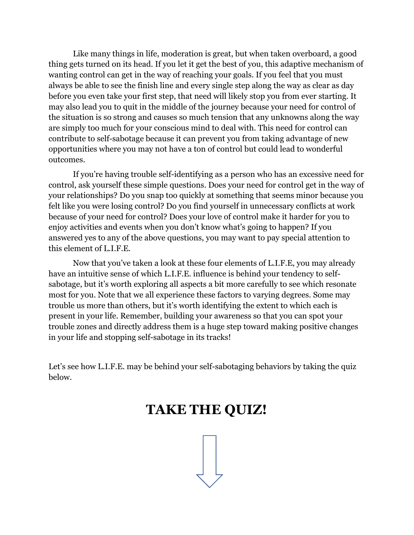Like many things in life, moderation is great, but when taken overboard, a good thing gets turned on its head. If you let it get the best of you, this adaptive mechanism of wanting control can get in the way of reaching your goals. If you feel that you must always be able to see the finish line and every single step along the way as clear as day before you even take your first step, that need will likely stop you from ever starting. It may also lead you to quit in the middle of the journey because your need for control of the situation is so strong and causes so much tension that any unknowns along the way are simply too much for your conscious mind to deal with. This need for control can contribute to self-sabotage because it can prevent you from taking advantage of new opportunities where you may not have a ton of control but could lead to wonderful outcomes.

If you're having trouble self-identifying as a person who has an excessive need for control, ask yourself these simple questions. Does your need for control get in the way of your relationships? Do you snap too quickly at something that seems minor because you felt like you were losing control? Do you find yourself in unnecessary conflicts at work because of your need for control? Does your love of control make it harder for you to enjoy activities and events when you don't know what's going to happen? If you answered yes to any of the above questions, you may want to pay special attention to this element of L.I.F.E.

Now that you've taken a look at these four elements of L.I.F.E, you may already have an intuitive sense of which L.I.F.E. influence is behind your tendency to selfsabotage, but it's worth exploring all aspects a bit more carefully to see which resonate most for you. Note that we all experience these factors to varying degrees. Some may trouble us more than others, but it's worth identifying the extent to which each is present in your life. Remember, building your awareness so that you can spot your trouble zones and directly address them is a huge step toward making positive changes in your life and stopping self-sabotage in its tracks!

Let's see how L.I.F.E. may be behind your self-sabotaging behaviors by taking the quiz below.

# **TAKE THE QUIZ!**

Н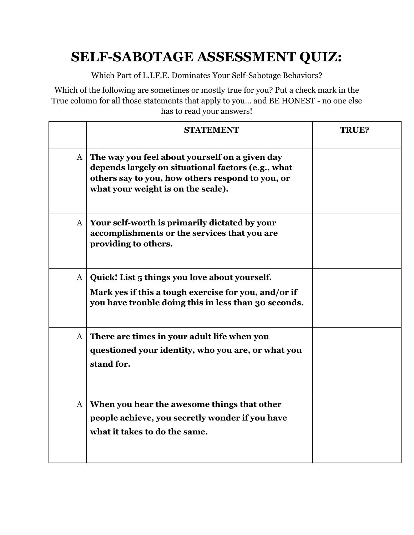# **SELF-SABOTAGE ASSESSMENT QUIZ:**

Which Part of L.I.F.E. Dominates Your Self-Sabotage Behaviors?

Which of the following are sometimes or mostly true for you? Put a check mark in the True column for all those statements that apply to you… and BE HONEST - no one else has to read your answers!

|              | <b>STATEMENT</b>                                                                                                                                                                               | <b>TRUE?</b> |
|--------------|------------------------------------------------------------------------------------------------------------------------------------------------------------------------------------------------|--------------|
| $\mathbf{A}$ | The way you feel about yourself on a given day<br>depends largely on situational factors (e.g., what<br>others say to you, how others respond to you, or<br>what your weight is on the scale). |              |
| $\mathbf{A}$ | Your self-worth is primarily dictated by your<br>accomplishments or the services that you are<br>providing to others.                                                                          |              |
| $\bf{A}$     | Quick! List 5 things you love about yourself.<br>Mark yes if this a tough exercise for you, and/or if<br>you have trouble doing this in less than 30 seconds.                                  |              |
| A            | There are times in your adult life when you<br>questioned your identity, who you are, or what you<br>stand for.                                                                                |              |
| $\mathbf{A}$ | When you hear the awesome things that other<br>people achieve, you secretly wonder if you have<br>what it takes to do the same.                                                                |              |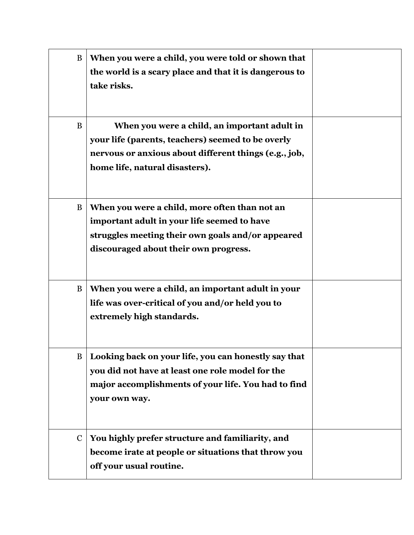| B           | When you were a child, you were told or shown that<br>the world is a scary place and that it is dangerous to<br>take risks.                                                                  |  |
|-------------|----------------------------------------------------------------------------------------------------------------------------------------------------------------------------------------------|--|
| B           | When you were a child, an important adult in<br>your life (parents, teachers) seemed to be overly<br>nervous or anxious about different things (e.g., job,<br>home life, natural disasters). |  |
| B           | When you were a child, more often than not an<br>important adult in your life seemed to have<br>struggles meeting their own goals and/or appeared<br>discouraged about their own progress.   |  |
| B           | When you were a child, an important adult in your<br>life was over-critical of you and/or held you to<br>extremely high standards.                                                           |  |
| B           | Looking back on your life, you can honestly say that<br>you did not have at least one role model for the<br>major accomplishments of your life. You had to find<br>your own way.             |  |
| $\mathbf C$ | You highly prefer structure and familiarity, and<br>become irate at people or situations that throw you<br>off your usual routine.                                                           |  |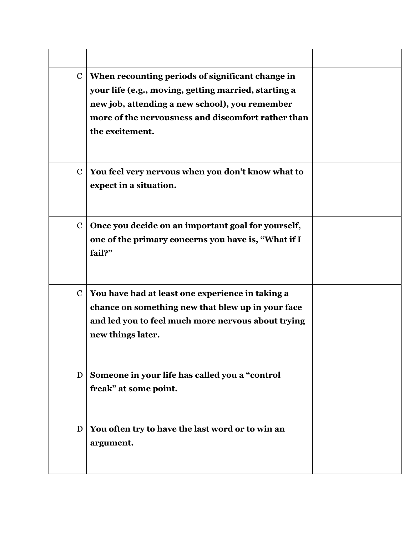| $\mathbf C$   | When recounting periods of significant change in<br>your life (e.g., moving, getting married, starting a<br>new job, attending a new school), you remember<br>more of the nervousness and discomfort rather than<br>the excitement. |  |
|---------------|-------------------------------------------------------------------------------------------------------------------------------------------------------------------------------------------------------------------------------------|--|
| $\mathbf C$   | You feel very nervous when you don't know what to<br>expect in a situation.                                                                                                                                                         |  |
| $\mathcal{C}$ | Once you decide on an important goal for yourself,<br>one of the primary concerns you have is, "What if I<br>fail?"                                                                                                                 |  |
| $\mathbf C$   | You have had at least one experience in taking a<br>chance on something new that blew up in your face<br>and led you to feel much more nervous about trying<br>new things later.                                                    |  |
| D             | Someone in your life has called you a "control"<br>freak" at some point.                                                                                                                                                            |  |
| D             | You often try to have the last word or to win an<br>argument.                                                                                                                                                                       |  |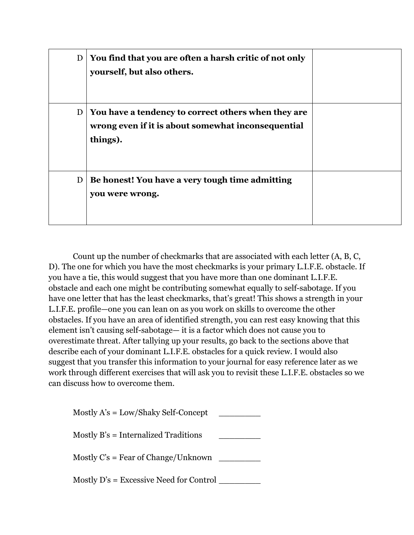| D | You find that you are often a harsh critic of not only<br>yourself, but also others.                                  |  |
|---|-----------------------------------------------------------------------------------------------------------------------|--|
| D | You have a tendency to correct others when they are<br>wrong even if it is about somewhat inconsequential<br>things). |  |
| D | Be honest! You have a very tough time admitting<br>you were wrong.                                                    |  |

Count up the number of checkmarks that are associated with each letter (A, B, C, D). The one for which you have the most checkmarks is your primary L.I.F.E. obstacle. If you have a tie, this would suggest that you have more than one dominant L.I.F.E. obstacle and each one might be contributing somewhat equally to self-sabotage. If you have one letter that has the least checkmarks, that's great! This shows a strength in your L.I.F.E. profile—one you can lean on as you work on skills to overcome the other obstacles. If you have an area of identified strength, you can rest easy knowing that this element isn't causing self-sabotage— it is a factor which does not cause you to overestimate threat. After tallying up your results, go back to the sections above that describe each of your dominant L.I.F.E. obstacles for a quick review. I would also suggest that you transfer this information to your journal for easy reference later as we work through different exercises that will ask you to revisit these L.I.F.E. obstacles so we can discuss how to overcome them.

| Mostly $A's = Low/Shaky$ Self-Concept       |  |
|---------------------------------------------|--|
| Mostly $B's = Internationalized Traditions$ |  |
| Mostly $C's$ = Fear of Change/Unknown       |  |
| Mostly $D's = Excessive Need$ for Control   |  |